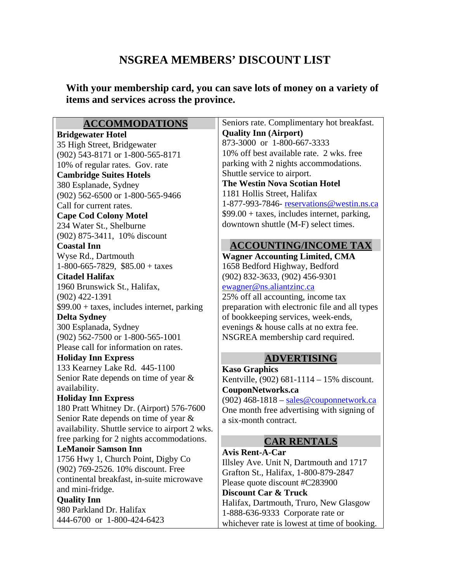## **NSGREA MEMBERS' DISCOUNT LIST**

**With your membership card, you can save lots of money on a variety of items and services across the province.** 

#### **ACCOMMODATIONS**

#### **Bridgewater Hotel**

35 High Street, Bridgewater (902) 543-8171 or 1-800-565-8171 10% of regular rates. Gov. rate **Cambridge Suites Hotels**  380 Esplanade, Sydney (902) 562-6500 or 1-800-565-9466 Call for current rates. **Cape Cod Colony Motel**  234 Water St., Shelburne (902) 875-3411, 10% discount **Coastal Inn**  Wyse Rd., Dartmouth 1-800-665-7829, \$85.00 + taxes **Citadel Halifax**  1960 Brunswick St., Halifax, (902) 422-1391  $$99.00 + \text{taxes},$  includes internet, parking **Delta Sydney**  300 Esplanada, Sydney (902) 562-7500 or 1-800-565-1001 Please call for information on rates. **Holiday Inn Express**  133 Kearney Lake Rd. 445-1100 Senior Rate depends on time of year & availability. **Holiday Inn Express**  180 Pratt Whitney Dr. (Airport) 576-7600 Senior Rate depends on time of year & availability. Shuttle service to airport 2 wks. free parking for 2 nights accommodations. **LeManoir Samson Inn**  1756 Hwy 1, Church Point, Digby Co (902) 769-2526. 10% discount. Free continental breakfast, in-suite microwave and mini-fridge. **Quality Inn**  980 Parkland Dr. Halifax

444-6700 or 1-800-424-6423

Seniors rate. Complimentary hot breakfast. **Quality Inn (Airport)**  873-3000 or 1-800-667-3333 10% off best available rate. 2 wks. free parking with 2 nights accommodations. Shuttle service to airport. **The Westin Nova Scotian Hotel**  1181 Hollis Street, Halifax 1-877-993-7846- [reservations@westin.ns.ca](mailto:reservations@westin.ns.ca) \$99.00 + taxes, includes internet, parking, downtown shuttle (M-F) select times.

### **ACCOUNTING/INCOME TAX**

**Wagner Accounting Limited, CMA**  1658 Bedford Highway, Bedford (902) 832-3633, (902) 456-9301 [ewagner@ns.aliantzinc.ca](mailto:ewagner@ns.aliantzinc.ca) 25% off all accounting, income tax preparation with electronic file and all types of bookkeeping services, week-ends, evenings & house calls at no extra fee. NSGREA membership card required.

### **ADVERTISING**

**Kaso Graphics**  Kentville, (902) 681-1114 – 15% discount. **CouponNetworks.ca** 

(902)  $468-1818 - \frac{\text{sales@component}work.ca$ One month free advertising with signing of a six-month contract.

### **CAR RENTALS**

**Avis Rent-A-Car**  Illsley Ave. Unit N, Dartmouth and 1717 Grafton St., Halifax, 1-800-879-2847 Please quote discount #C283900 **Discount Car & Truck**  Halifax, Dartmouth, Truro, New Glasgow 1-888-636-9333 Corporate rate or whichever rate is lowest at time of booking.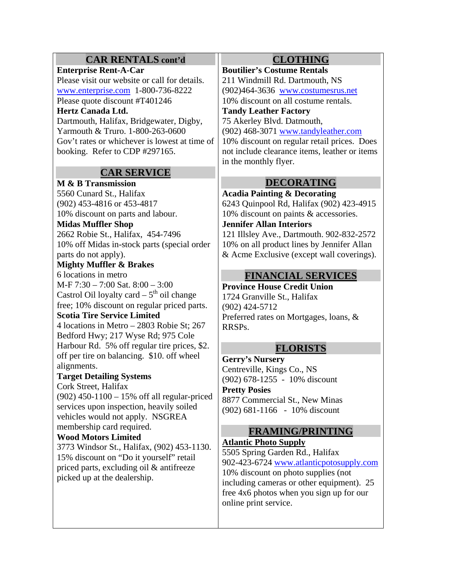### **CAR RENTALS cont'd**

#### **Enterprise Rent-A-Car**

Please visit our website or call for details. [www.enterprise.com](http://www.enterprise.com/) 1-800-736-8222 Please quote discount #T401246

#### **Hertz Canada Ltd.**

Dartmouth, Halifax, Bridgewater, Digby, Yarmouth & Truro. 1-800-263-0600 Gov't rates or whichever is lowest at time of booking. Refer to CDP #297165.

### **CAR SERVICE**

**M & B Transmission**  5560 Cunard St., Halifax (902) 453-4816 or 453-4817 10% discount on parts and labour.

#### **Midas Muffler Shop**

2662 Robie St., Halifax, 454-7496 10% off Midas in-stock parts (special order parts do not apply).

### **Mighty Muffler & Brakes**

6 locations in metro M-F 7:30 – 7:00 Sat. 8:00 – 3:00 Castrol Oil loyalty card  $-5<sup>th</sup>$  oil change free; 10% discount on regular priced parts. **Scotia Tire Service Limited** 

4 locations in Metro – 2803 Robie St; 267 Bedford Hwy; 217 Wyse Rd; 975 Cole Harbour Rd. 5% off regular tire prices, \$2. off per tire on balancing. \$10. off wheel alignments.

#### **Target Detailing Systems**

Cork Street, Halifax

(902) 450-1100 – 15% off all regular-priced services upon inspection, heavily soiled vehicles would not apply. NSGREA membership card required.

#### **Wood Motors Limited**

3773 Windsor St., Halifax, (902) 453-1130. 15% discount on "Do it yourself" retail priced parts, excluding oil & antifreeze picked up at the dealership.

### **CLOTHING**

**Boutilier's Costume Rentals**  211 Windmill Rd. Dartmouth, NS (902)464-3636 [www.costumesrus.net](http://www.costumesrus.net/) 10% discount on all costume rentals.

### **Tandy Leather Factory**  75 Akerley Blvd. Datmouth,

(902) 468-3071 [www.tandyleather.com](http://www.tandyleather.com/)

10% discount on regular retail prices. Does not include clearance items, leather or items in the monthly flyer.

### **DECORATING**

**Acadia Painting & Decorating**  6243 Quinpool Rd, Halifax (902) 423-4915 10% discount on paints & accessories.

#### **Jennifer Allan Interiors**

121 Illsley Ave., Dartmouth. 902-832-2572 10% on all product lines by Jennifer Allan & Acme Exclusive (except wall coverings).

### **FINANCIAL SERVICES**

**Province House Credit Union**  1724 Granville St., Halifax (902) 424-5712 Preferred rates on Mortgages, loans, & RRSPs.

### **FLORISTS**

**Gerry's Nursery** Centreville, Kings Co., NS (902) 678-1255 - 10% discount **Pretty Posies**  8877 Commercial St., New Minas (902) 681-1166 - 10% discount

### **FRAMING/PRINTING**

# **Atlantic Photo Supply**

5505 Spring Garden Rd., Halifax 902-423-6724 [www.atlanticpotosupply.com](http://www.atlanticpotosupply.com/) 10% discount on photo supplies (not including cameras or other equipment). 25 free 4x6 photos when you sign up for our online print service.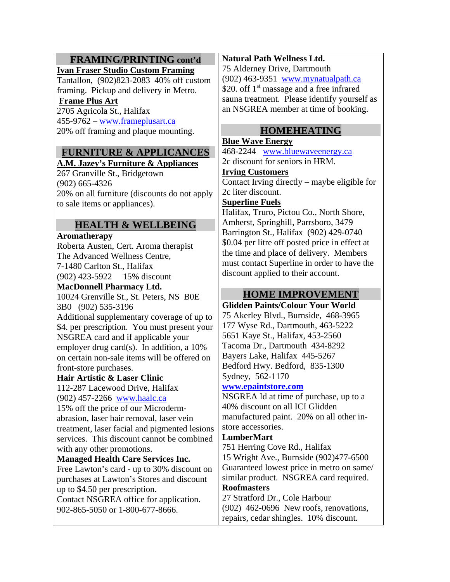### **FRAMING/PRINTING cont'd**

#### **Ivan Fraser Studio Custom Framing**

Tantallon, (902)823-2083 40% off custom framing. Pickup and delivery in Metro.

### **Frame Plus Art**

2705 Agricola St., Halifax 455-9762 – [www.frameplusart.ca](http://www.frameplusart.ca/) 20% off framing and plaque mounting.

# **FURNITURE & APPLICANCES**

### **A.M. Jazey's Furniture & Appliances**

267 Granville St., Bridgetown (902) 665-4326 20% on all furniture (discounts do not apply to sale items or appliances).

### **HEALTH & WELLBEING**

#### **Aromatherapy**

Roberta Austen, Cert. Aroma therapist The Advanced Wellness Centre, 7-1480 Carlton St., Halifax (902) 423-5922 15% discount

### **MacDonnell Pharmacy Ltd.**

10024 Grenville St., St. Peters, NS B0E 3B0 (902) 535-3196

Additional supplementary coverage of up to \$4. per prescription. You must present your NSGREA card and if applicable your employer drug card(s). In addition, a 10% on certain non-sale items will be offered on front-store purchases.

#### **Hair Artistic & Laser Clinic**

112-287 Lacewood Drive, Halifax (902) 457-2266 [www.haalc.ca](http://www.haalc.ca/)

15% off the price of our Microdermabrasion, laser hair removal, laser vein treatment, laser facial and pigmented lesions services. This discount cannot be combined with any other promotions.

#### **Managed Health Care Services Inc.**

Free Lawton's card - up to 30% discount on purchases at Lawton's Stores and discount up to \$4.50 per prescription. Contact NSGREA office for application. 902-865-5050 or 1-800-677-8666.

#### **Natural Path Wellness Ltd.**

75 Alderney Drive, Dartmouth (902) 463-9351 [www.mynatualpath.ca](http://www.mynatualpath.ca/) \$20. off  $1<sup>st</sup>$  massage and a free infrared sauna treatment. Please identify yourself as an NSGREA member at time of booking.

### **HOMEHEATING**

### **Blue Wave Energy**

468-2244 [www.bluewaveenergy.ca](http://www.bluewaveenergy.ca/) 2c discount for seniors in HRM.

#### **Irving Customers**

Contact Irving directly – maybe eligible for 2c liter discount.

#### **Superline Fuels**

Halifax, Truro, Pictou Co., North Shore, Amherst, Springhill, Parrsboro, 3479 Barrington St., Halifax (902) 429-0740 \$0.04 per litre off posted price in effect at the time and place of delivery. Members must contact Superline in order to have the discount applied to their account.

### **HOME IMPROVEMENT**

#### **Glidden Paints/Colour Your World**  75 Akerley Blvd., Burnside, 468-3965 177 Wyse Rd., Dartmouth, 463-5222

5651 Kaye St., Halifax, 453-2560 Tacoma Dr., Dartmouth 434-8292 Bayers Lake, Halifax 445-5267 Bedford Hwy. Bedford, 835-1300 Sydney, 562-1170

#### **[www.epaintstore.com](http://www.epaintstore.com/)**

NSGREA Id at time of purchase, up to a 40% discount on all ICI Glidden manufactured paint. 20% on all other instore accessories.

#### **LumberMart**

751 Herring Cove Rd., Halifax 15 Wright Ave., Burnside (902)477-6500 Guaranteed lowest price in metro on same/ similar product. NSGREA card required. **Roofmasters** 

27 Stratford Dr., Cole Harbour (902) 462-0696 New roofs, renovations, repairs, cedar shingles. 10% discount.